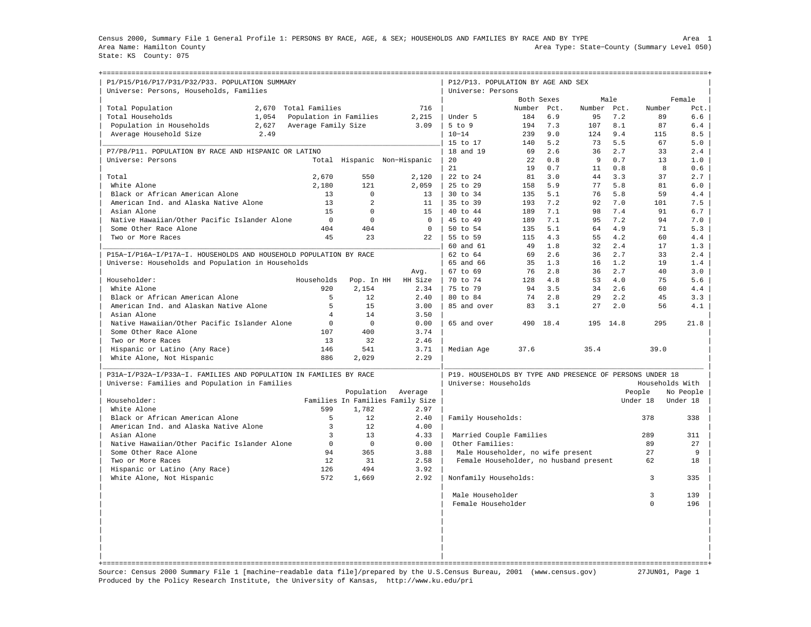Census 2000, Summary File 1 General Profile 1: PERSONS BY RACE, AGE, & SEX; HOUSEHOLDS AND FAMILIES BY RACE AND BY TYPE Area 1 Area Name: Hamilton County Area Type: State−County (Summary Level 050) State: KS County: 075

+===================================================================================================================================================+

| P1/P15/P16/P17/P31/P32/P33. POPULATION SUMMARY<br>Universe: Persons, Households, Families |                        |                |                                  | P12/P13. POPULATION BY AGE AND SEX<br>Universe: Persons  |            |      |        |      |                 |                       |
|-------------------------------------------------------------------------------------------|------------------------|----------------|----------------------------------|----------------------------------------------------------|------------|------|--------|------|-----------------|-----------------------|
|                                                                                           |                        |                |                                  |                                                          | Both Sexes |      |        | Male |                 | Female                |
| Total Population<br>2,670                                                                 | Total Families         |                | 716                              |                                                          | Number     | Pct. | Number | Pct. | Number          | Pct.                  |
| Total Households<br>1,054                                                                 | Population in Families |                | 2,215                            | Under 5                                                  | 184        | 6.9  | 95     | 7.2  | 89              | 6.6                   |
| Population in Households<br>2,627                                                         | Average Family Size    |                | 3.09                             | $5$ to $9$                                               | 194        | 7.3  | 107    | 8.1  | 87              | 6.4                   |
| Average Household Size<br>2.49                                                            |                        |                |                                  | $10 - 14$                                                | 239        | 9.0  | 124    | 9.4  | 115             | 8.5                   |
|                                                                                           |                        |                |                                  | 15 to 17                                                 | 140        | 5.2  | 73     | 5.5  | 67              | 5.0                   |
| P7/P8/P11. POPULATION BY RACE AND HISPANIC OR LATINO                                      |                        |                |                                  | 18 and 19                                                | 69         | 2.6  | 36     | 2.7  | 33              | 2.4                   |
| Universe: Persons                                                                         |                        |                | Total Hispanic Non-Hispanic      | 20                                                       | 22         | 0.8  | 9      | 0.7  | 13              | 1.0                   |
|                                                                                           |                        |                |                                  | 21                                                       | 19         | 0.7  | 11     | 0.8  | 8               | 0.6                   |
| Total                                                                                     | 2,670                  | 550            | 2,120                            | 22 to 24                                                 | 81         | 3.0  | 44     | 3.3  | 37              | 2.7                   |
| White Alone                                                                               | 2,180                  | 121            | 2,059                            | 25 to 29                                                 | 158        | 5.9  | 77     | 5.8  | 81              | 6.0                   |
| Black or African American Alone                                                           | 13                     | $\Omega$       | 13                               | 30 to 34                                                 | 135        | 5.1  | 76     | 5.8  | 59              | 4.4                   |
| American Ind. and Alaska Native Alone                                                     | 13                     | $\mathfrak{D}$ | 11                               | 35 to 39                                                 | 193        | 7.2  | 92     | 7.0  | 101             | 7.5                   |
| Asian Alone                                                                               | 15                     | $\Omega$       | 15                               | 40 to 44                                                 | 189        | 7.1  | 98     | 7.4  | 91              | 6.7                   |
| Native Hawaiian/Other Pacific Islander Alone                                              | $\mathbf 0$            | $\mathbf 0$    | $\mathbf 0$                      | 45 to 49                                                 | 189        | 7.1  | 95     | 7.2  | 94              | 7.0                   |
| Some Other Race Alone                                                                     | 404                    | 404            | $\Omega$                         | $50 \text{ to } 54$                                      | 135        | 5.1  | 64     | 4.9  | 71              | 5.3                   |
| Two or More Races                                                                         | 45                     | 2.3            | 2.2                              | 55 to 59                                                 | 115        | 4.3  | 55     | 4.2  | 60              | 4.4                   |
|                                                                                           |                        |                |                                  | 60 and 61                                                | 49         | 1.8  | 32     | 2.4  | 17              | 1.3                   |
| P15A-I/P16A-I/P17A-I. HOUSEHOLDS AND HOUSEHOLD POPULATION BY RACE                         |                        |                |                                  | 62 to 64                                                 | 69         | 2.6  | 36     | 2.7  | 33              | 2.4                   |
| Universe: Households and Population in Households                                         |                        |                |                                  | 65 and 66                                                | 35         | 1.3  | 16     | 1.2  | 19              | 1.4                   |
|                                                                                           |                        |                | Avg.                             | $67$ to $69$                                             | 76         | 2.8  | 36     | 2.7  | 40              | 3.0                   |
| Householder:                                                                              | Households             | Pop. In HH     | HH Size                          | 70 to 74                                                 | 128        | 4.8  | 53     | 4.0  | 75              | 5.6                   |
| White Alone                                                                               | 920                    | 2,154          | 2.34                             | 75 to 79                                                 | 94         | 3.5  | 34     | 2.6  | 60              | 4.4                   |
| Black or African American Alone                                                           | 5                      | 12.            | 2.40                             | 80 to 84                                                 | 74         | 2.8  | 29     | 2.2  | 45              | 3.3                   |
| American Ind. and Alaskan Native Alone                                                    | 5                      | 15             | 3.00                             | 85 and over                                              | 83         | 3.1  | 27     | 2.0  | 56              | 4.1                   |
| Asian Alone                                                                               | $\overline{4}$         | 14             | 3.50                             |                                                          |            |      |        |      |                 |                       |
| Native Hawaiian/Other Pacific Islander Alone                                              | $\mathbf 0$            | $\Omega$       | 0.00                             | 65 and over                                              | 490        | 18.4 | 195    | 14.8 | 295             | 21.8                  |
| Some Other Race Alone                                                                     | 107                    | 400            | 3.74                             |                                                          |            |      |        |      |                 |                       |
| Two or More Races                                                                         | 13                     | 32             | 2.46                             |                                                          |            |      |        |      |                 |                       |
| Hispanic or Latino (Any Race)                                                             | 146                    | 541            | 3.71                             | Median Age                                               | 37.6       |      | 35.4   |      | 39.0            |                       |
| White Alone, Not Hispanic                                                                 | 886                    | 2,029          | 2.29                             |                                                          |            |      |        |      |                 |                       |
| P31A-I/P32A-I/P33A-I, FAMILIES AND POPULATION IN FAMILIES BY RACE                         |                        |                |                                  | P19. HOUSEHOLDS BY TYPE AND PRESENCE OF PERSONS UNDER 18 |            |      |        |      |                 |                       |
| Universe: Families and Population in Families                                             |                        |                |                                  | Universe: Households                                     |            |      |        |      | Households With |                       |
| Householder:                                                                              |                        | Population     | Average                          |                                                          |            |      |        |      | People          | No People<br>Under 18 |
| White Alone                                                                               | 599                    |                | Families In Families Family Size |                                                          |            |      |        |      | Under 18        |                       |
|                                                                                           | 5                      | 1,782<br>12    | 2.97                             |                                                          |            |      |        |      |                 |                       |
| Black or African American Alone                                                           | 3                      | 12             | 2.40                             | Family Households:                                       |            |      |        |      | 378             | 338                   |
| American Ind. and Alaska Native Alone<br>Asian Alone                                      | 3                      | 13             | 4.00<br>4.33                     | Married Couple Families                                  |            |      |        |      | 289             | 311                   |
| Native Hawaiian/Other Pacific Islander Alone                                              | $\mathbf 0$            | $\Omega$       | 0.00                             | Other Families:                                          |            |      |        |      | 89              | 27                    |
| Some Other Race Alone                                                                     | 94                     | 365            | 3.88                             | Male Householder, no wife present                        |            |      |        |      | 2.7             | 9                     |
| Two or More Races                                                                         | 12                     | 31             | 2.58                             | Female Householder, no husband present                   |            |      |        |      | 62              | 18                    |
| Hispanic or Latino (Any Race)                                                             | 126                    | 494            | 3.92                             |                                                          |            |      |        |      |                 |                       |
| White Alone, Not Hispanic                                                                 | 572                    | 1,669          | 2.92                             | Nonfamily Households:                                    |            |      |        |      | 3               | 335                   |
|                                                                                           |                        |                |                                  |                                                          |            |      |        |      |                 |                       |
|                                                                                           |                        |                |                                  | Male Householder                                         |            |      |        |      | $\overline{3}$  | 139                   |
|                                                                                           |                        |                |                                  | Female Householder                                       |            |      |        |      | $\Omega$        | 196                   |
|                                                                                           |                        |                |                                  |                                                          |            |      |        |      |                 |                       |
|                                                                                           |                        |                |                                  |                                                          |            |      |        |      |                 |                       |
|                                                                                           |                        |                |                                  |                                                          |            |      |        |      |                 |                       |
|                                                                                           |                        |                |                                  |                                                          |            |      |        |      |                 |                       |
|                                                                                           |                        |                |                                  |                                                          |            |      |        |      |                 |                       |
|                                                                                           |                        |                |                                  |                                                          |            |      |        |      |                 |                       |
|                                                                                           |                        |                |                                  |                                                          |            |      |        |      |                 |                       |

Source: Census 2000 Summary File 1 [machine−readable data file]/prepared by the U.S.Census Bureau, 2001 (www.census.gov) 27JUN01, Page 1 Produced by the Policy Research Institute, the University of Kansas, http://www.ku.edu/pri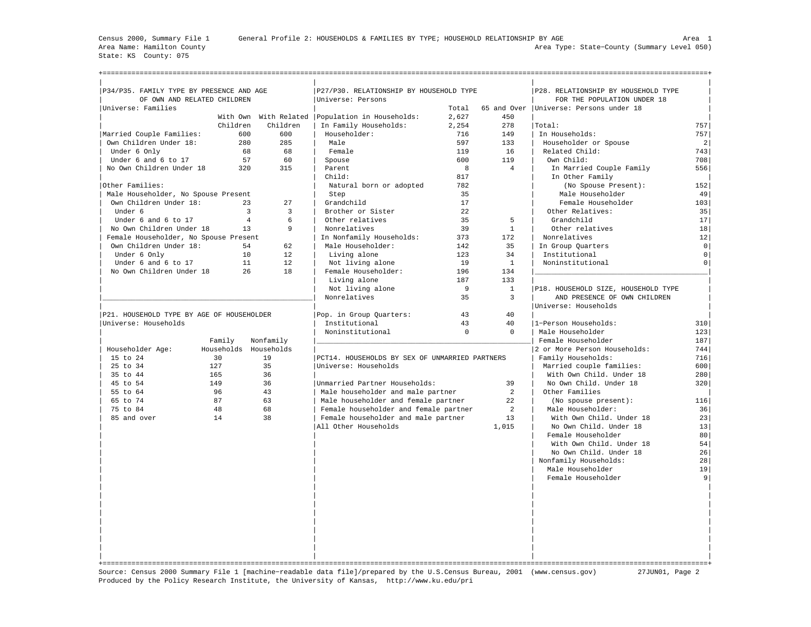State: KS County: 075

| P34/P35. FAMILY TYPE BY PRESENCE AND AGE  |                |                                  | P27/P30. RELATIONSHIP BY HOUSEHOLD TYPE           |          | P28. RELATIONSHIP BY HOUSEHOLD TYPE |                                          |                     |
|-------------------------------------------|----------------|----------------------------------|---------------------------------------------------|----------|-------------------------------------|------------------------------------------|---------------------|
| OF OWN AND RELATED CHILDREN               |                |                                  | Universe: Persons                                 |          |                                     | FOR THE POPULATION UNDER 18              |                     |
| Universe: Families                        |                |                                  |                                                   | Total    |                                     | 65 and Over   Universe: Persons under 18 |                     |
|                                           |                |                                  | With Own With Related   Population in Households: | 2.627    | 450                                 |                                          |                     |
|                                           | Children       | Children                         | In Family Households:                             | 2,254    | 278                                 | Total:                                   | 757                 |
| Married Couple Families:                  | 600            | 600                              | Householder:                                      | 716      | 149                                 | In Households:                           | 757                 |
| Own Children Under 18:                    | 280            | 285                              | Male                                              | 597      | 133                                 | Householder or Spouse                    | $\overline{2}$      |
| Under 6 Only                              | 68             | 68                               | Female                                            | 119      | 16                                  | Related Child:                           | 743                 |
| Under 6 and 6 to 17                       | 57             | 60                               | Spouse                                            | 600      | 119                                 | Own Child:                               | 708                 |
| No Own Children Under 18                  | 320            | 315                              | Parent                                            | 8        | $\overline{4}$                      | In Married Couple Family                 | 556                 |
|                                           |                |                                  | Child:                                            | 817      |                                     | In Other Family                          |                     |
| Other Families:                           |                |                                  | Natural born or adopted                           | 782      |                                     | (No Spouse Present):                     | 152                 |
| Male Householder, No Spouse Present       |                |                                  | Step                                              | 35       |                                     | Male Householder                         | 49                  |
| Own Children Under 18:                    | 2.3            | 27                               | Grandchild                                        | 17       |                                     | Female Householder                       | 103                 |
| Under 6                                   |                | $\overline{3}$<br>$\overline{3}$ | Brother or Sister                                 | 22       |                                     | Other Relatives:                         | 35                  |
| Under 6 and 6 to 17                       | $\overline{4}$ | 6                                | Other relatives                                   | 35       | 5                                   | Grandchild                               | 17                  |
| No Own Children Under 18                  | 13             | 9                                | Nonrelatives                                      | 39       | $\mathbf{1}$                        | Other relatives                          | 18                  |
| Female Householder, No Spouse Present     |                |                                  | In Nonfamily Households:                          | 373      | 172                                 | Nonrelatives                             | 12                  |
| Own Children Under 18:                    | 54             | 62                               | Male Householder:                                 | 142      | 35                                  | In Group Quarters                        | $\mathsf{O}\xspace$ |
| Under 6 Only                              | 10             | 12                               | Living alone                                      | 123      | 34                                  | Institutional                            | $\circ$             |
| Under 6 and 6 to 17                       | 11             | 12                               | Not living alone                                  | 19       | $\mathbf{1}$                        | Noninstitutional                         | $\circ$             |
| No Own Children Under 18                  | 26             | 18                               | Female Householder:                               | 196      | 134                                 |                                          |                     |
|                                           |                |                                  | Living alone                                      | 187      | 133                                 |                                          |                     |
|                                           |                |                                  | Not living alone                                  | 9        | $\mathbf{1}$                        | P18. HOUSEHOLD SIZE, HOUSEHOLD TYPE      |                     |
|                                           |                |                                  | Nonrelatives                                      | 35       | $\overline{3}$                      | AND PRESENCE OF OWN CHILDREN             |                     |
|                                           |                |                                  |                                                   |          |                                     | Universe: Households                     |                     |
| P21. HOUSEHOLD TYPE BY AGE OF HOUSEHOLDER |                |                                  | Pop. in Group Quarters:                           | 43       | 40                                  |                                          |                     |
| Universe: Households                      |                |                                  | Institutional                                     | 43       | 40                                  | 1-Person Households:                     | 310                 |
|                                           |                |                                  | Noninstitutional                                  | $\Omega$ | $\mathbf{0}$                        | Male Householder                         | 123                 |
|                                           | Family         | Nonfamily                        |                                                   |          |                                     | Female Householder                       | 187                 |
| Householder Age:                          |                | Households Households            |                                                   |          |                                     | 2 or More Person Households:             | 744                 |
| 15 to 24                                  | 30             | 19                               | PCT14. HOUSEHOLDS BY SEX OF UNMARRIED PARTNERS    |          |                                     | Family Households:                       | 716                 |
| 25 to 34                                  | 127            | 35                               | Universe: Households                              |          |                                     | Married couple families:                 | 600                 |
| 35 to 44                                  | 165            | 36                               |                                                   |          |                                     | With Own Child. Under 18                 | 280                 |
| 45 to 54                                  | 149            | 36                               | Unmarried Partner Households:                     |          | 39                                  | No Own Child. Under 18                   | 320                 |
| 55 to 64                                  | 96             | 43                               | Male householder and male partner                 |          | 2                                   | Other Families                           |                     |
| 65 to 74                                  | 87             | 63                               | Male householder and female partner               |          | 22                                  | (No spouse present):                     | 116                 |
| 75 to 84                                  | 48             | 68                               | Female householder and female partner             |          | $\overline{a}$                      | Male Householder:                        | 36                  |
| 85 and over                               | 14             | 38                               | Female householder and male partner               |          | 13                                  | With Own Child. Under 18                 | 23                  |
|                                           |                |                                  | All Other Households                              |          | 1,015                               | No Own Child. Under 18                   | 13                  |
|                                           |                |                                  |                                                   |          |                                     | Female Householder                       | 80                  |
|                                           |                |                                  |                                                   |          |                                     | With Own Child. Under 18                 | 54                  |
|                                           |                |                                  |                                                   |          |                                     | No Own Child. Under 18                   | 26                  |
|                                           |                |                                  |                                                   |          |                                     |                                          |                     |
|                                           |                |                                  |                                                   |          |                                     | Nonfamily Households:                    | 28                  |
|                                           |                |                                  |                                                   |          |                                     | Male Householder<br>Female Householder   | 19<br>9             |
|                                           |                |                                  |                                                   |          |                                     |                                          |                     |
|                                           |                |                                  |                                                   |          |                                     |                                          |                     |
|                                           |                |                                  |                                                   |          |                                     |                                          |                     |
|                                           |                |                                  |                                                   |          |                                     |                                          |                     |
|                                           |                |                                  |                                                   |          |                                     |                                          |                     |
|                                           |                |                                  |                                                   |          |                                     |                                          |                     |
|                                           |                |                                  |                                                   |          |                                     |                                          |                     |
|                                           |                |                                  |                                                   |          |                                     |                                          |                     |
|                                           |                |                                  |                                                   |          |                                     |                                          |                     |
|                                           |                |                                  |                                                   |          |                                     |                                          |                     |
|                                           |                |                                  |                                                   |          |                                     |                                          |                     |

Source: Census 2000 Summary File 1 [machine−readable data file]/prepared by the U.S.Census Bureau, 2001 (www.census.gov) 27JUN01, Page 2 Produced by the Policy Research Institute, the University of Kansas, http://www.ku.edu/pri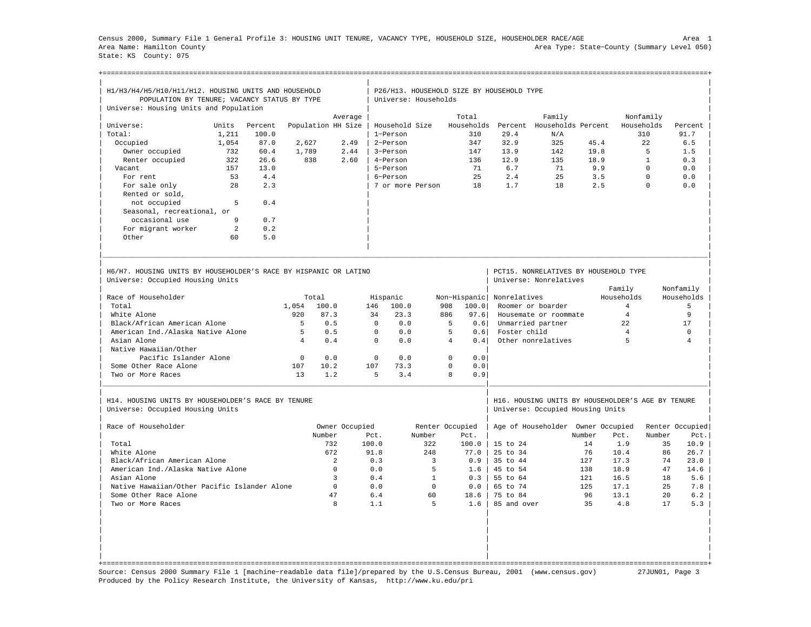Census 2000, Summary File 1 General Profile 3: HOUSING UNIT TENURE, VACANCY TYPE, HOUSEHOLD SIZE, HOUSEHOLDER RACE/AGE Area 1 Area Name: Hamilton County Area Type: State−County (Summary Level 050) State: KS County: 075

+===================================================================================================================================================+

| H1/H3/H4/H5/H10/H11/H12. HOUSING UNITS AND HOUSEHOLD<br>POPULATION BY TENURE; VACANCY STATUS BY TYPE<br>Universe: Housing Units and Population |       |         |                |                    |                | Universe: Households |                | P26/H13. HOUSEHOLD SIZE BY HOUSEHOLD TYPE |              |                                                                                       |        |                |              |                 |
|------------------------------------------------------------------------------------------------------------------------------------------------|-------|---------|----------------|--------------------|----------------|----------------------|----------------|-------------------------------------------|--------------|---------------------------------------------------------------------------------------|--------|----------------|--------------|-----------------|
|                                                                                                                                                |       |         |                |                    |                |                      |                | Total                                     |              |                                                                                       |        |                |              |                 |
|                                                                                                                                                |       |         |                |                    | Average        |                      |                |                                           |              | Family                                                                                |        |                | Nonfamily    |                 |
| Universe:                                                                                                                                      | Units | Percent |                | Population HH Size |                | Household Size       |                | Households                                | Percent      | Households Percent                                                                    |        |                | Households   | Percent         |
| Total:                                                                                                                                         | 1,211 | 100.0   |                |                    |                | 1-Person             |                | 310                                       | 29.4         | N/A                                                                                   |        |                | 310          | 91.7            |
| Occupied                                                                                                                                       | 1,054 | 87.0    | 2,627          |                    | 2.49           | 2-Person             |                | 347                                       | 32.9         | 325                                                                                   | 45.4   |                | 2.2.         | 6.5             |
| Owner occupied                                                                                                                                 | 732   | 60.4    | 1,789          |                    | 2.44           | 3-Person             |                | 147                                       | 13.9         | 142                                                                                   | 19.8   |                | 5            | 1.5             |
| Renter occupied                                                                                                                                | 322   | 26.6    | 838            |                    | 2.60           | 4-Person             |                | 136                                       | 12.9         | 135                                                                                   | 18.9   |                | $\mathbf{1}$ | 0.3             |
| Vacant                                                                                                                                         | 157   | 13.0    |                |                    |                | 5-Person             |                | 71                                        | 6.7          | 71                                                                                    |        | 9.9            | $\Omega$     | 0.0             |
| For rent                                                                                                                                       | 53    | 4.4     |                |                    |                | 6-Person             |                | 25                                        | 2.4          | 25                                                                                    |        | 3.5            | $\Omega$     | 0.0             |
| For sale only                                                                                                                                  | 28    | 2.3     |                |                    |                | 7 or more Person     |                | 18                                        | 1.7          | 18                                                                                    |        | 2.5            | $\Omega$     | 0.0             |
| Rented or sold,                                                                                                                                |       |         |                |                    |                |                      |                |                                           |              |                                                                                       |        |                |              |                 |
| not occupied                                                                                                                                   | 5     | 0.4     |                |                    |                |                      |                |                                           |              |                                                                                       |        |                |              |                 |
| Seasonal, recreational, or                                                                                                                     |       |         |                |                    |                |                      |                |                                           |              |                                                                                       |        |                |              |                 |
| occasional use                                                                                                                                 | 9     | 0.7     |                |                    |                |                      |                |                                           |              |                                                                                       |        |                |              |                 |
| For migrant worker                                                                                                                             | 2     | 0.2     |                |                    |                |                      |                |                                           |              |                                                                                       |        |                |              |                 |
| Other                                                                                                                                          | 60    | 5.0     |                |                    |                |                      |                |                                           |              |                                                                                       |        |                |              |                 |
|                                                                                                                                                |       |         |                |                    |                |                      |                |                                           |              |                                                                                       |        |                |              |                 |
| H6/H7, HOUSING UNITS BY HOUSEHOLDER'S RACE BY HISPANIC OR LATINO<br>Universe: Occupied Housing Units                                           |       |         |                |                    |                |                      |                |                                           |              | PCT15. NONRELATIVES BY HOUSEHOLD TYPE<br>Universe: Nonrelatives                       |        |                |              |                 |
|                                                                                                                                                |       |         |                |                    |                |                      |                |                                           |              |                                                                                       |        | Family         |              | Nonfamily       |
| Race of Householder                                                                                                                            |       |         |                | Total              |                | Hispanic             |                | Non-Hispanic                              | Nonrelatives |                                                                                       |        | Households     |              | Households      |
| Total                                                                                                                                          |       |         | 1,054          | 100.0              | 146            | 100.0                |                | 908<br>100.0                              |              | Roomer or boarder                                                                     |        | $\overline{4}$ |              | 5               |
| White Alone                                                                                                                                    |       |         | 920            | 87.3               |                | 23.3<br>34           |                | 886<br>97.6                               |              | Housemate or roommate                                                                 |        | $\overline{4}$ |              | 9               |
| Black/African American Alone                                                                                                                   |       |         | 5              | 0.5                |                | $\Omega$<br>0.0      |                | 5<br>0.6                                  |              | Unmarried partner                                                                     |        | 22             |              | 17              |
| American Ind./Alaska Native Alone                                                                                                              |       |         | 5              | 0.5                |                | $\Omega$<br>0.0      |                | 5<br>0.61                                 | Foster child |                                                                                       |        | $\overline{4}$ |              | $\Omega$        |
| Asian Alone                                                                                                                                    |       |         | $\overline{4}$ | 0.4                |                | $\Omega$<br>0.0      |                | $\overline{4}$<br>0.4                     |              | Other nonrelatives                                                                    |        | 5              |              | $\Delta$        |
| Native Hawaiian/Other                                                                                                                          |       |         |                |                    |                |                      |                |                                           |              |                                                                                       |        |                |              |                 |
| Pacific Islander Alone                                                                                                                         |       |         | $\Omega$       | 0.0                |                | $\mathbf 0$<br>0.0   |                | $\mathbf 0$<br>0.0                        |              |                                                                                       |        |                |              |                 |
| Some Other Race Alone                                                                                                                          |       |         | 107            | 10.2               | 107            | 73.3                 |                | $\Omega$<br>0.0                           |              |                                                                                       |        |                |              |                 |
| Two or More Races                                                                                                                              |       |         | 13             | 1.2                |                | 5<br>3.4             |                | 8<br>0.9                                  |              |                                                                                       |        |                |              |                 |
|                                                                                                                                                |       |         |                |                    |                |                      |                |                                           |              |                                                                                       |        |                |              |                 |
| H14. HOUSING UNITS BY HOUSEHOLDER'S RACE BY TENURE<br>Universe: Occupied Housing Units                                                         |       |         |                |                    |                |                      |                |                                           |              | H16. HOUSING UNITS BY HOUSEHOLDER'S AGE BY TENURE<br>Universe: Occupied Housing Units |        |                |              |                 |
| Race of Householder                                                                                                                            |       |         |                |                    | Owner Occupied |                      |                | Renter Occupied                           |              | Age of Householder                                                                    |        | Owner Occupied |              | Renter Occupied |
|                                                                                                                                                |       |         |                | Number             |                | Pct.                 | Number         | Pct.                                      |              |                                                                                       | Number | Pct.           | Number       | Pct.            |
| Total                                                                                                                                          |       |         |                | 732                | 100.0          |                      | 322            | 100.0                                     | 15 to 24     |                                                                                       | 14     | 1.9            | 35           | 10.9            |
| White Alone                                                                                                                                    |       |         |                | 672                |                | 91.8                 | 248            | 77.0                                      | 25 to 34     |                                                                                       | 76     | 10.4           | 86           | 26.7            |
|                                                                                                                                                |       |         |                |                    |                |                      |                |                                           |              |                                                                                       |        |                |              |                 |
| Black/African American Alone                                                                                                                   |       |         |                | 2                  |                | 0.3                  | $\overline{3}$ | 0.9                                       | 35 to 44     |                                                                                       | 127    | 17.3           | 74           | 23.0            |
| American Ind./Alaska Native Alone                                                                                                              |       |         |                | $\Omega$           |                | 0.0                  | 5              | 1.6                                       | 45 to 54     |                                                                                       | 138    | 18.9           | 47           | 14.6            |
| Asian Alone                                                                                                                                    |       |         |                | $\overline{3}$     |                | 0.4                  | $\mathbf{1}$   | 0.3                                       | 55 to 64     |                                                                                       | 121    | 16.5           | 18           | 5.6             |
| Native Hawaiian/Other Pacific Islander Alone                                                                                                   |       |         |                | $\Omega$           |                | 0.0                  | $\Omega$       | 0.0                                       | 65 to 74     |                                                                                       | 125    | 17.1           | 2.5          | 7.8             |
| Some Other Race Alone                                                                                                                          |       |         |                | 47                 |                | 6.4                  | 60             | 18.6                                      | 75 to 84     |                                                                                       | 96     | 13.1           | 20           | 6.2             |
| Two or More Races                                                                                                                              |       |         |                | $\mathbf{8}$       |                | 1.1                  | 5              | 1.6                                       | 85 and over  |                                                                                       | 35     | 4.8            | 17           | 5.3             |
|                                                                                                                                                |       |         |                |                    |                |                      |                |                                           |              |                                                                                       |        |                |              |                 |

Source: Census 2000 Summary File 1 [machine−readable data file]/prepared by the U.S.Census Bureau, 2001 (www.census.gov) 27JUN01, Page 3 Produced by the Policy Research Institute, the University of Kansas, http://www.ku.edu/pri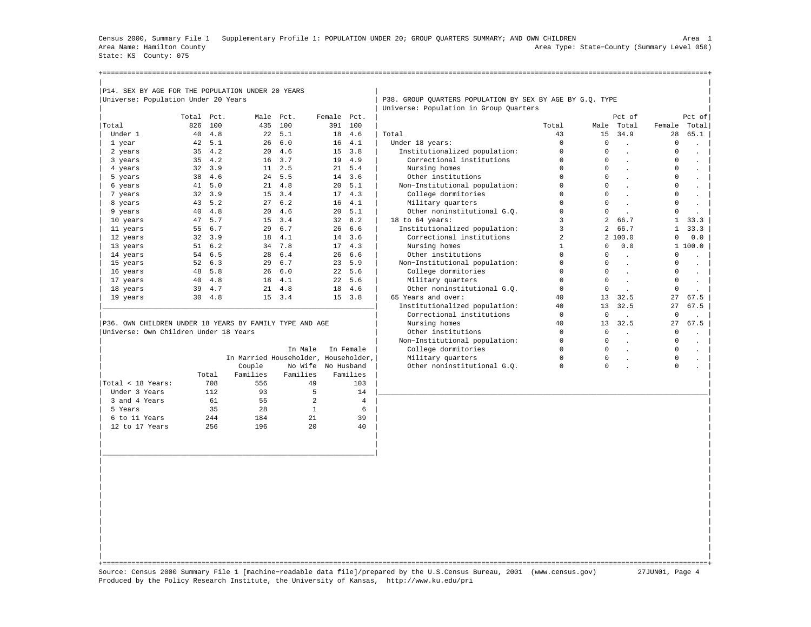Census 2000, Summary File 1 Supplementary Profile 1: POPULATION UNDER 20; GROUP QUARTERS SUMMARY; AND OWN CHILDREN Area 1 Area Name: Hamilton County Area Type: State−County (Summary Level 050) State: KS County: 075

| P14. SEX BY AGE FOR THE POPULATION UNDER 20 YEARS       |            |                |                                      |                    |             |                |                                                           |                |                |                      |              |                      |
|---------------------------------------------------------|------------|----------------|--------------------------------------|--------------------|-------------|----------------|-----------------------------------------------------------|----------------|----------------|----------------------|--------------|----------------------|
| Universe: Population Under 20 Years                     |            |                |                                      |                    |             |                | P38. GROUP OUARTERS POPULATION BY SEX BY AGE BY G.O. TYPE |                |                |                      |              |                      |
|                                                         |            |                |                                      |                    |             |                | Universe: Population in Group Quarters                    |                |                |                      |              |                      |
|                                                         | Total Pct. |                |                                      | Male Pct.          | Female Pct. |                |                                                           |                |                | Pct of               |              | Pct of               |
| Total                                                   | 826        | 100            | 435                                  | 100                |             | 391 100        |                                                           | Total          |                | Male Total           | Female       | Total                |
| Under 1                                                 | 40         | 4.8            | 22                                   | 5.1                | 18          | 4.6            | Total                                                     | 43             | 15             | 34.9                 | 28           | 65.1                 |
| 1 year                                                  | 42         | 5.1            | 26                                   | 6.0                |             | 16, 4.1        | Under 18 years:                                           | $\mathbf 0$    | $\mathbf 0$    |                      | 0            |                      |
| 2 years                                                 | 35         | 4.2            | 20                                   | 4.6                |             | $15 \quad 3.8$ | Institutionalized population:                             | $\Omega$       | $\Omega$       | $\sim$               | $\Omega$     |                      |
| 3 years                                                 | 35         | 4.2            | 16                                   | 3.7                | 19          | 4.9            | Correctional institutions                                 | 0              | $\cap$         | $\mathbf{r}$         | $\Omega$     | $\ddot{\phantom{0}}$ |
| 4 years                                                 | 32         | 3.9            |                                      | $11 \quad 2.5$     |             | 21, 5.4        | Nursing homes                                             | 0              | $\Omega$       |                      | $\Omega$     |                      |
| 5 years                                                 | 38         | 4.6            |                                      | 24 5.5             |             | 14, 3.6        | Other institutions                                        | $\Omega$       | $\Omega$       |                      | $\Omega$     | $\ddot{\phantom{0}}$ |
| 6 years                                                 | 41         | 5.0            |                                      | 21 4.8             | 20          | 5.1            | Non-Institutional population:                             | 0              | $\Omega$       |                      | 0            | $\Box$               |
| 7 years                                                 | 32         | 3.9            | 15                                   | 3.4                |             | 17, 4.3        | College dormitories                                       | 0              | $\mathbf 0$    |                      | 0            |                      |
| 8 years                                                 | 43         | 5.2            | 27                                   | 6.2                |             | 16, 4.1        | Military quarters                                         | 0              | $\Omega$       |                      | $\circ$      |                      |
| 9 years                                                 | 40         | 4.8            | 20                                   | 4.6                |             | 20, 5.1        | Other noninstitutional G.Q.                               | 0              | $\Omega$       |                      | $\Omega$     |                      |
| 10 years                                                | 47         | 5.7            |                                      | 15 3.4             |             | 32 8.2         | 18 to 64 years:                                           | 3              | $\mathfrak{D}$ | 66.7                 | $\mathbf{1}$ | 33.3                 |
| 11 years                                                | 55         | 6.7            | 29                                   | 6.7                | 26          | 6.6            | Institutionalized population:                             | 3              | $\overline{a}$ | 66.7                 | 1            | 33.3                 |
| 12 years                                                | 32         | 3.9            |                                      | 18 4.1             |             | 14 3.6         | Correctional institutions                                 | $\overline{a}$ |                | 2100.0               | $\Omega$     | 0.0                  |
| 13 years                                                | 51         | 6.2            |                                      | 34 7.8             |             | 17, 4.3        | Nursing homes                                             | $\mathbf{1}$   | $\Omega$       | 0.0                  |              | 1 100.0              |
| 14 years                                                | 54         | 6.5            | 28                                   | 6.4                | 26          | 6.6            | Other institutions                                        | 0              | $\Omega$       | $\mathbf{r}$         | 0            | $\ddot{\phantom{0}}$ |
| 15 years                                                | 52         | 6.3            | 29                                   | 6.7                |             | 23, 5.9        | Non-Institutional population:                             | 0              | $\Omega$       | $\ddot{\phantom{a}}$ | $\Omega$     |                      |
| 16 years                                                | 48         | 5.8            | 26                                   | 6.0                |             | 22, 5.6        | College dormitories                                       | 0              | $\Omega$       | $\cdot$              | 0            | $\bullet$            |
| 17 years                                                | 40         | 4.8            | 18                                   | 4.1                |             | 22, 5.6        | Military quarters                                         | 0              | $\Omega$       | $\mathbf{r}$         | $\circ$      | $\ddot{\phantom{a}}$ |
| 18 years                                                | 39         | 4.7            |                                      | $21 \quad 4.8$     | 18          | 4.6            | Other noninstitutional G.O.                               | $\Omega$       | $\Omega$       |                      | $\Omega$     |                      |
| 19 years                                                |            | $30 \quad 4.8$ |                                      | $15 \quad 3.4$     |             | $15 \quad 3.8$ | 65 Years and over:                                        | 40             | 13             | 32.5                 | 27           | 67.5                 |
|                                                         |            |                |                                      |                    |             |                | Institutionalized population:                             | 40             | 13             | 32.5                 | 27           | 67.5                 |
|                                                         |            |                |                                      |                    |             |                | Correctional institutions                                 | $\mathbf 0$    | $\mathbf 0$    |                      | $\mathbf 0$  |                      |
| P36. OWN CHILDREN UNDER 18 YEARS BY FAMILY TYPE AND AGE |            |                |                                      |                    |             |                | Nursing homes                                             | 40             | 13             | 32.5                 | 27           | 67.5                 |
| Universe: Own Children Under 18 Years                   |            |                |                                      |                    |             |                | Other institutions                                        | $\mathbf 0$    | $\Omega$       | $\mathbf{r}$         | $\mathbf 0$  | $\ddot{\phantom{a}}$ |
|                                                         |            |                |                                      |                    |             |                | Non-Institutional population:                             | 0              | $\Omega$       | $\ddot{\phantom{a}}$ | $\circ$      |                      |
|                                                         |            |                |                                      | In Male            |             | In Female      | College dormitories                                       | $\Omega$       | $\Omega$       | $\ddot{\phantom{a}}$ | 0            |                      |
|                                                         |            |                | In Married Householder, Householder, |                    |             |                | Military quarters                                         | $\mathbf 0$    | $\circ$        |                      | $\mathbf 0$  |                      |
|                                                         |            |                | Couple                               | No Wife No Husband |             |                | Other noninstitutional G.O.                               | 0              | $\circ$        |                      | $\circ$      |                      |
|                                                         |            | Total          | Families                             | Families           |             | Families       |                                                           |                |                |                      |              |                      |
| Total < 18 Years:                                       |            | 708            | 556                                  | 49                 |             | 103            |                                                           |                |                |                      |              |                      |
| Under 3 Years                                           |            | 112            | 93                                   | 5                  |             | 14             |                                                           |                |                |                      |              |                      |
| 3 and 4 Years                                           |            | 61             | 55                                   | 2                  |             | $\overline{4}$ |                                                           |                |                |                      |              |                      |
| 5 Years                                                 |            | 35             | 28                                   | $\mathbf{1}$       |             | 6              |                                                           |                |                |                      |              |                      |
| 6 to 11 Years                                           |            | 2.44           | 184                                  |                    |             |                |                                                           |                |                |                      |              |                      |

| | +===================================================================================================================================================+ Source: Census 2000 Summary File 1 [machine−readable data file]/prepared by the U.S.Census Bureau, 2001 (www.census.gov) 27JUN01, Page 4 Produced by the Policy Research Institute, the University of Kansas, http://www.ku.edu/pri

| | | | | | |\_\_\_\_\_\_\_\_\_\_\_\_\_\_\_\_\_\_\_\_\_\_\_\_\_\_\_\_\_\_\_\_\_\_\_\_\_\_\_\_\_\_\_\_\_\_\_\_\_\_\_\_\_\_\_\_\_\_\_\_\_\_\_\_\_\_| | | | | | | | | | | | | | | | | | | | | | | |

| 12 to 17 Years 256 196 20 40 | |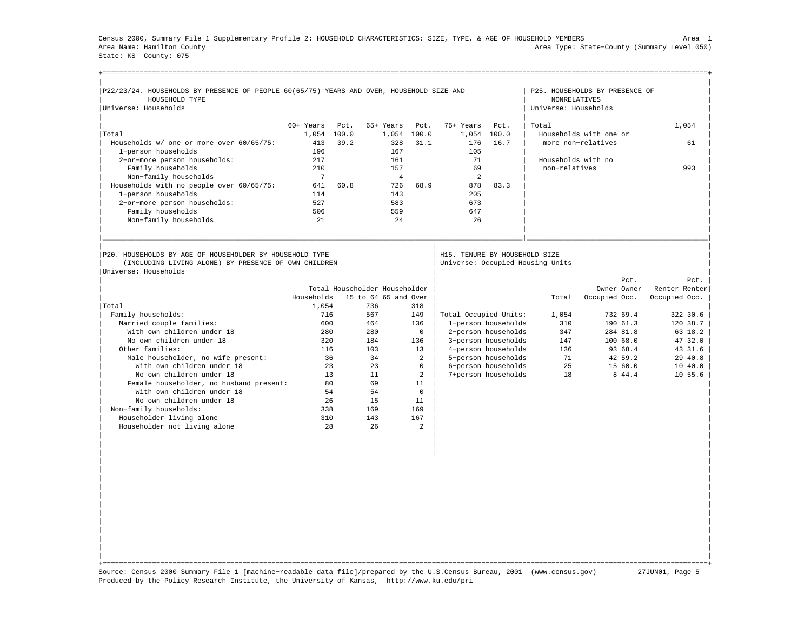Census 2000, Summary File 1 Supplementary Profile 2: HOUSEHOLD CHARACTERISTICS: SIZE, TYPE, & AGE OF HOUSEHOLD MEMBERS Area 1 Area Name: Hamilton County Area Type: State−County (Summary Level 050) State: KS County: 075

| P22/23/24. HOUSEHOLDS BY PRESENCE OF PEOPLE 60(65/75) YEARS AND OVER, HOUSEHOLD SIZE AND<br>HOUSEHOLD TYPE |             |      |                               |                |                                  |                     | <b>NONRELATIVES</b>  | P25. HOUSEHOLDS BY PRESENCE OF |                               |
|------------------------------------------------------------------------------------------------------------|-------------|------|-------------------------------|----------------|----------------------------------|---------------------|----------------------|--------------------------------|-------------------------------|
| Universe: Households                                                                                       |             |      |                               |                |                                  |                     | Universe: Households |                                |                               |
|                                                                                                            | 60+ Years   | Pct. | 65+ Years                     | Pct.           | 75+ Years                        | Pct.                | Total                |                                | 1,054                         |
| Total                                                                                                      | 1,054 100.0 |      |                               | 1,054 100.0    | 1,054                            | 100.0               |                      | Households with one or         |                               |
| Households w/ one or more over 60/65/75:                                                                   | 413         | 39.2 | 328                           | 31.1           | 176                              | 16.7                |                      | more non-relatives             | 61                            |
| 1-person households                                                                                        | 196         |      | 167                           |                | 105                              |                     |                      |                                |                               |
| 2-or-more person households:                                                                               | 217         |      | 161                           |                | 71                               |                     | Households with no   |                                |                               |
| Family households                                                                                          | 210         |      | 157                           |                | 69                               |                     | non-relatives        |                                | 993                           |
| Non-family households                                                                                      | 7           |      | $\overline{4}$                |                | 2                                |                     |                      |                                |                               |
| Households with no people over 60/65/75:                                                                   | 641         | 60.8 | 726                           | 68.9           | 878                              | 83.3                |                      |                                |                               |
| 1-person households                                                                                        | 114         |      | 143                           |                | 205                              |                     |                      |                                |                               |
| 2-or-more person households:                                                                               | 527         |      | 583                           |                | 673                              |                     |                      |                                |                               |
| Family households                                                                                          | 506         |      | 559                           |                | 647                              |                     |                      |                                |                               |
| Non-family households                                                                                      | 21          |      | 2.4                           |                | 26                               |                     |                      |                                |                               |
| P20. HOUSEHOLDS BY AGE OF HOUSEHOLDER BY HOUSEHOLD TYPE                                                    |             |      |                               |                | H15. TENURE BY HOUSEHOLD SIZE    |                     |                      |                                |                               |
| (INCLUDING LIVING ALONE) BY PRESENCE OF OWN CHILDREN<br>Universe: Households                               |             |      |                               |                | Universe: Occupied Housing Units |                     |                      |                                |                               |
|                                                                                                            |             |      |                               |                |                                  |                     |                      | Pct.                           | Pct.                          |
|                                                                                                            |             |      | Total Householder Householder |                |                                  |                     |                      | Owner Owner                    | Renter Renter                 |
|                                                                                                            | Households  |      | 15 to 64 65 and Over          |                |                                  |                     | Total                | Occupied Occ.                  | Occupied Occ.                 |
| Total                                                                                                      | 1,054       |      | 736                           | 318            |                                  |                     |                      |                                |                               |
| Family households:                                                                                         | 716         |      | 567                           | 149            | Total Occupied Units:            |                     | 1,054                | 732 69.4                       | 322 30.6                      |
| Married couple families:                                                                                   | 600         |      | 464                           | 136            |                                  | 1-person households | 310                  | 190 61.3                       | 120 38.7                      |
| With own children under 18                                                                                 | 280         |      | 280                           | $\mathbf 0$    |                                  | 2-person households | 347                  | 284 81.8                       | 63 18.2                       |
| No own children under 18                                                                                   | 320         |      | 184                           | 136            |                                  | 3-person households | 147                  | 100 68.0                       | 47 32.0                       |
|                                                                                                            |             |      |                               |                |                                  |                     |                      | 93 68.4                        |                               |
| Other families:                                                                                            | 116         |      | 103                           | 13             |                                  | 4-person households | 136                  |                                |                               |
| Male householder, no wife present:                                                                         |             | 36   | 34                            | $\overline{2}$ |                                  | 5-person households | 71                   | 42 59.2                        |                               |
| With own children under 18                                                                                 |             | 23   | 23                            | $\Omega$       |                                  | 6-person households | 2.5                  | 15 60.0                        |                               |
| No own children under 18                                                                                   |             | 13   | 11                            | $\mathfrak{D}$ |                                  | 7+person households | 18                   | 8 44.4                         | 10 55.6                       |
| Female householder, no husband present:                                                                    |             | 80   | 69                            | 11             |                                  |                     |                      |                                |                               |
| With own children under 18                                                                                 |             | 54   | 54                            | $\mathbf{0}$   |                                  |                     |                      |                                |                               |
| No own children under 18                                                                                   |             | 26   | 15                            | 11             |                                  |                     |                      |                                |                               |
| Non-family households:                                                                                     | 338         |      | 169                           | 169            |                                  |                     |                      |                                |                               |
| Householder living alone                                                                                   | 310         |      | 143                           | 167            |                                  |                     |                      |                                |                               |
| Householder not living alone                                                                               |             | 28   | 26                            | 2              |                                  |                     |                      |                                | 43 31.6<br>29 40.8<br>10 40.0 |
|                                                                                                            |             |      |                               |                |                                  |                     |                      |                                |                               |
|                                                                                                            |             |      |                               |                |                                  |                     |                      |                                |                               |

| | +===================================================================================================================================================+ Source: Census 2000 Summary File 1 [machine−readable data file]/prepared by the U.S.Census Bureau, 2001 (www.census.gov) 27JUN01, Page 5 Produced by the Policy Research Institute, the University of Kansas, http://www.ku.edu/pri

| | | | | | | | | | | | | | | | | | | |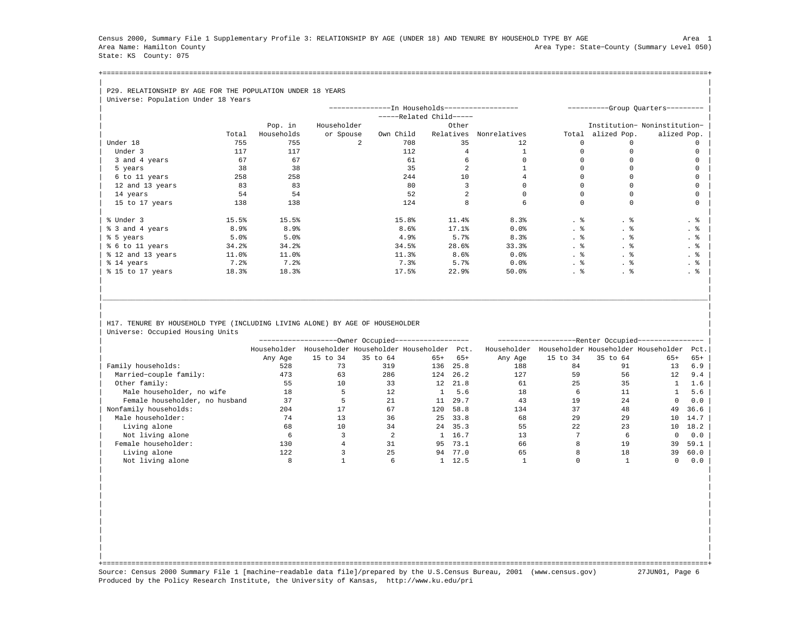Census 2000, Summary File 1 Supplementary Profile 3: RELATIONSHIP BY AGE (UNDER 18) AND TENURE BY HOUSEHOLD TYPE BY AGE Area 1 Area Name: Hamilton County Area Type: State−County (Summary Level 050) State: KS County: 075

+===================================================================================================================================================+| |

## | P29. RELATIONSHIP BY AGE FOR THE POPULATION UNDER 18 YEARS

| Universe: Population Under 18 Years |                  |            |             |                                               |                       |              |       |             |                                   |
|-------------------------------------|------------------|------------|-------------|-----------------------------------------------|-----------------------|--------------|-------|-------------|-----------------------------------|
|                                     |                  |            |             | --------------In Households------------------ |                       |              |       |             | ----------Group Quarters--------- |
|                                     |                  |            |             |                                               | $---Related Child---$ |              |       |             |                                   |
|                                     |                  | Pop. in    | Householder |                                               | Other                 |              |       |             | Institution- Noninstitution-      |
|                                     | Total            | Households | or Spouse   | Own Child                                     | Relatives             | Nonrelatives | Total | alized Pop. | alized Pop.                       |
| Under 18                            | 755              | 755        | 2.          | 708                                           | 35                    | 12           |       |             |                                   |
| Under 3                             | 117              | 117        |             | 112                                           |                       |              |       |             |                                   |
| 3 and 4 years                       | 67               | 67         |             | 61                                            |                       |              |       |             |                                   |
| 5 years                             | 38               | 38         |             | 35                                            |                       |              |       |             |                                   |
| 6 to 11 years                       | 258              | 258        |             | 244                                           | 10                    |              |       |             |                                   |
| 12 and 13 years                     | 83               | 83         |             | 80                                            |                       |              |       |             |                                   |
| 14 years                            | 54               | 54         |             | 52                                            |                       |              |       |             |                                   |
| 15 to 17 years                      | 138              | 138        |             | 124                                           | R                     |              |       | $\cap$      |                                   |
|                                     |                  |            |             |                                               |                       |              |       |             |                                   |
| % Under 3                           | 15.5%            | 15.5%      |             | 15.8%                                         | 11.4%                 | 8.3%         | . 응   | . 응         | . 응                               |
| % 3 and 4 years                     | 8.9 <sub>8</sub> | 8.9%       |             | 8.6%                                          | 17.1%                 | $0.0$ $%$    | . 응   |             | . 응                               |
| % 5 years                           | 5.0%             | 5.0%       |             | 4.9%                                          | 5.7%                  | 8.3%         | . 응   | . ક         | . 응                               |
| % 6 to 11 years                     | 34.2%            | 34.2%      |             | 34.5%                                         | 28.6%                 | 33.3%        | . 응   | . 응         | . 응                               |
| % 12 and 13 years                   | 11.0%            | 11.0%      |             | 11.3%                                         | 8.6%                  | $0.0$ $%$    | . 응   | . 응         | . 응                               |
| % 14 years                          | $7.2$ $%$        | 7.2%       |             | 7.3%                                          | 5.7%                  | $0.0$ $%$    | . 응   | . 응         | . 응                               |
| % 15 to 17 years                    | 18.3%            | 18.3%      |             | 17.5%                                         | 22.9%                 | 50.0%        | . 응   | . 응         | . 응                               |
|                                     |                  |            |             |                                               |                       |              |       |             |                                   |

## H17. TENURE BY HOUSEHOLD TYPE (INCLUDING LIVING ALONE) BY AGE OF HOUSEHOLDER Universe: Occupied Housing Units

|                                |             |          | --Owner Occupied---                 |       |       | -Renter Occupied-- |          |          |                                     |       |  |  |
|--------------------------------|-------------|----------|-------------------------------------|-------|-------|--------------------|----------|----------|-------------------------------------|-------|--|--|
|                                | Householder |          | Householder Householder Householder |       | Pct.  | Householder        |          |          | Householder Householder Householder | Pct.  |  |  |
|                                | Any Age     | 15 to 34 | 35 to 64                            | $65+$ | $65+$ | Any Age            | 15 to 34 | 35 to 64 | $65+$                               | $65+$ |  |  |
| Family households:             | 528         | 73       | 319                                 | 136   | 25.8  | 188                | 84       | 91       | 13                                  | 6.9   |  |  |
| Married-couple family:         | 473         | 63       | 286                                 | 124   | 26.2  | 127                | 59       | 56       | 12                                  | 9.4   |  |  |
| Other family:                  | 55          | 10       | 33                                  | 12    | 21.8  | 61                 | 25       | 35       |                                     | 1.6   |  |  |
| Male householder, no wife      | 18          |          | 12                                  |       | 5.6   | 18                 |          | 11       |                                     | 5.6   |  |  |
| Female householder, no husband | 37          |          | 21                                  | 11    | 29.7  | 43                 | 19       | 24       | 0                                   | 0.0   |  |  |
| Nonfamily households:          | 204         |          | 67                                  | 120   | 58.8  | 134                | 37       | 48       | 49                                  | 36.6  |  |  |
| Male householder:              | 74          | 13       | 36                                  | 25    | 33.8  | 68                 | 29       | 29       | 10                                  | 14.7  |  |  |
| Living alone                   | 68          | 10       | 34                                  | 24    | 35.3  | 55                 | 22       | 23       | 10                                  | 18.2  |  |  |
| Not living alone               |             |          |                                     |       | 16.7  | 13                 |          | h        | $\Omega$                            | 0.0   |  |  |
| Female householder:            | 130         |          | 31                                  | 95    | 73.1  | 66                 |          | 19       | 39                                  | 59.1  |  |  |
| Living alone                   | 122         |          | 25                                  | 94    | 77.0  | 65                 |          | 18       | 39                                  | 60.0  |  |  |
| Not living alone               |             |          |                                     |       | 12.5  |                    |          |          |                                     | 0.0   |  |  |

| | | | | | | | | | | | | | | | | | | |

|\_\_\_\_\_\_\_\_\_\_\_\_\_\_\_\_\_\_\_\_\_\_\_\_\_\_\_\_\_\_\_\_\_\_\_\_\_\_\_\_\_\_\_\_\_\_\_\_\_\_\_\_\_\_\_\_\_\_\_\_\_\_\_\_\_\_\_\_\_\_\_\_\_\_\_\_\_\_\_\_\_\_\_\_\_\_\_\_\_\_\_\_\_\_\_\_\_\_\_\_\_\_\_\_\_\_\_\_\_\_\_\_\_\_\_\_\_\_\_\_\_\_\_\_\_\_\_\_\_\_\_\_\_\_\_\_\_\_\_\_\_\_\_\_\_\_\_| | | | |

| | +===================================================================================================================================================+ Source: Census 2000 Summary File 1 [machine−readable data file]/prepared by the U.S.Census Bureau, 2001 (www.census.gov) 27JUN01, Page 6 Produced by the Policy Research Institute, the University of Kansas, http://www.ku.edu/pri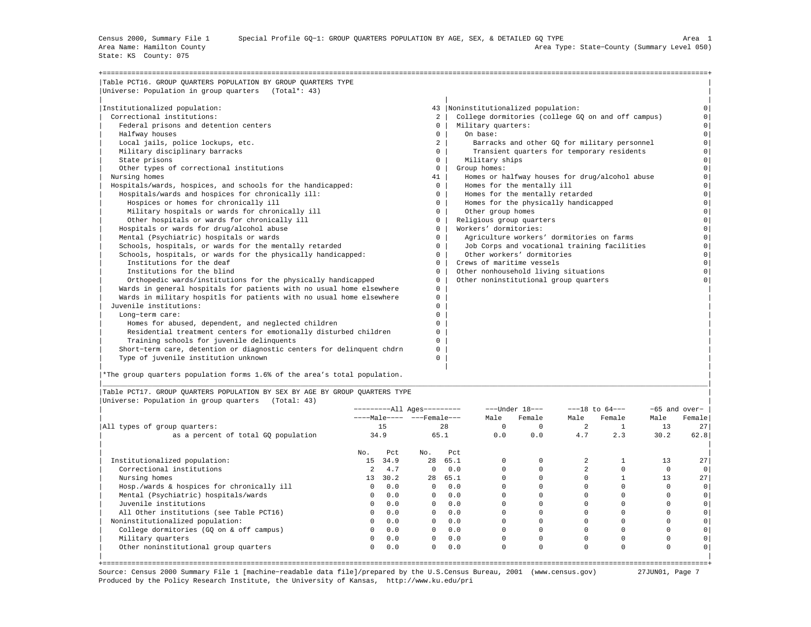State: KS County: 075

| Table PCT16. GROUP OUARTERS POPULATION BY GROUP OUARTERS TYPE         |                |                                                    |                |
|-----------------------------------------------------------------------|----------------|----------------------------------------------------|----------------|
| Universe: Population in group quarters (Total*: 43)                   |                |                                                    |                |
|                                                                       |                |                                                    |                |
| Institutionalized population:                                         |                | 43  Noninstitutionalized population:               |                |
| Correctional institutions:                                            | 2              | College dormitories (college GQ on and off campus) |                |
| Federal prisons and detention centers                                 | $\mathbf{0}$   | Military quarters:                                 | $\Omega$       |
| Halfway houses                                                        | $^{\circ}$     | On base:                                           | $\Omega$       |
| Local jails, police lockups, etc.                                     | $\overline{2}$ | Barracks and other GO for military personnel       | $\Omega$       |
| Military disciplinary barracks                                        | $\Omega$       | Transient quarters for temporary residents         | $\Omega$       |
| State prisons                                                         | $^{\circ}$     | Military ships                                     | $\circ$        |
| Other types of correctional institutions                              | $\Omega$       | Group homes:                                       | $\Omega$       |
| Nursing homes                                                         | 41             | Homes or halfway houses for drug/alcohol abuse     | $\Omega$       |
| Hospitals/wards, hospices, and schools for the handicapped:           | $\mathbf{0}$   | Homes for the mentally ill                         | $\circ$        |
| Hospitals/wards and hospices for chronically ill:                     | $\mathbf{0}$   | Homes for the mentally retarded                    | $\Omega$       |
| Hospices or homes for chronically ill                                 | $\Omega$       | Homes for the physically handicapped               | $\Omega$       |
| Military hospitals or wards for chronically ill                       | $\Omega$       | Other group homes                                  | $\Omega$       |
| Other hospitals or wards for chronically ill                          | $^{\circ}$     | Religious group quarters                           | $\overline{0}$ |
| Hospitals or wards for drug/alcohol abuse                             | $\Omega$       | Workers' dormitories:                              | $\Omega$       |
| Mental (Psychiatric) hospitals or wards                               | $\Omega$       | Agriculture workers' dormitories on farms          | $\Omega$       |
| Schools, hospitals, or wards for the mentally retarded                | $^{\circ}$     | Job Corps and vocational training facilities       | $\Omega$       |
| Schools, hospitals, or wards for the physically handicapped:          | $\mathbf{0}$   | Other workers' dormitories                         | $\Omega$       |
| Institutions for the deaf                                             | $\Omega$       | Crews of maritime vessels                          | $\Omega$       |
| Institutions for the blind                                            | $\Omega$       | Other nonhousehold living situations               |                |
| Orthopedic wards/institutions for the physically handicapped          | $^{\circ}$     | Other noninstitutional group quarters              |                |
| Wards in general hospitals for patients with no usual home elsewhere  | $^{\circ}$     |                                                    |                |
| Wards in military hospitls for patients with no usual home elsewhere  | $\Omega$       |                                                    |                |
| Juvenile institutions:                                                | $\Omega$       |                                                    |                |
| Long-term care:                                                       | 0              |                                                    |                |
| Homes for abused, dependent, and neglected children                   | $\Omega$       |                                                    |                |
| Residential treatment centers for emotionally disturbed children      | $\Omega$       |                                                    |                |
| Training schools for juvenile delinquents                             | $\Omega$       |                                                    |                |
| Short-term care, detention or diagnostic centers for delinquent chdrn | 0              |                                                    |                |
| Type of juvenile institution unknown                                  | $\Omega$       |                                                    |                |
|                                                                       |                |                                                    |                |

|<br>|\*The group quarters population forms 1.6% of the area's total population.

|Table PCT17. GROUP QUARTERS POPULATION BY SEX BY AGE BY GROUP QUARTERS TYPE | |Universe: Population in group quarters (Total: 43) |

|                                            | ----------All Ages--------- |          |                       |          |          | $---Under 18---$ |      | $---18$ to $64---$ | $-65$ and over- |        |
|--------------------------------------------|-----------------------------|----------|-----------------------|----------|----------|------------------|------|--------------------|-----------------|--------|
|                                            |                             |          | $---Male--- - -Frame$ |          | Male     | Female           | Male | Female             | Male            | Female |
| All types of group quarters:               |                             | 15<br>28 |                       | $\Omega$ |          | 2                |      | 13                 | 27              |        |
| as a percent of total GQ population        | 34.9                        |          | 65.1                  |          | 0.0      | 0.0              | 4.7  | 2.3                | 30.2            | 62.8   |
|                                            | No.                         | Pct      | No.                   | Pct      |          |                  |      |                    |                 |        |
| Institutionalized population:              | 15                          | 34.9     | 28                    | 65.1     | $\Omega$ |                  |      |                    | 13              | 27     |
| Correctional institutions                  |                             | 4.7      | $\Omega$              | 0.0      |          |                  |      |                    |                 |        |
| Nursing homes                              | 13                          | 30.2     | 28                    | 65.1     |          |                  |      |                    | 13              | 27     |
| Hosp./wards & hospices for chronically ill | $\Omega$                    | 0.0      | $\Omega$              | 0.0      |          |                  |      |                    |                 |        |
| Mental (Psychiatric) hospitals/wards       | $\Omega$                    | 0.0      | $\overline{0}$        | 0.0      |          |                  |      |                    |                 |        |
| Juvenile institutions                      | $\Omega$                    | 0.0      | $\Omega$              | 0.0      |          |                  |      |                    |                 |        |
| All Other institutions (see Table PCT16)   | $\Omega$                    | 0.0      | $\mathbf{0}$          | 0.0      |          |                  |      |                    |                 |        |
| Noninstitutionalized population:           | 0                           | 0.0      | $^{\circ}$            | 0.0      |          |                  |      |                    |                 |        |
| College dormitories (GQ on & off campus)   | 0                           | 0.0      | $\mathbf{0}$          | 0.0      |          |                  |      |                    |                 |        |
| Military quarters                          | $\circ$                     | 0.0      | $\mathbf{0}$          | 0.0      |          |                  |      |                    |                 |        |
| Other noninstitutional group quarters      | 0                           | 0.0      | $^{\circ}$            | 0.0      | $\Omega$ |                  | 0    |                    |                 |        |
|                                            |                             |          |                       |          |          |                  |      |                    |                 |        |

|\_\_\_\_\_\_\_\_\_\_\_\_\_\_\_\_\_\_\_\_\_\_\_\_\_\_\_\_\_\_\_\_\_\_\_\_\_\_\_\_\_\_\_\_\_\_\_\_\_\_\_\_\_\_\_\_\_\_\_\_\_\_\_\_\_\_\_\_\_\_\_\_\_\_\_\_\_\_\_\_\_\_\_\_\_\_\_\_\_\_\_\_\_\_\_\_\_\_\_\_\_\_\_\_\_\_\_\_\_\_\_\_\_\_\_\_\_\_\_\_\_\_\_\_\_\_\_\_\_\_\_\_\_\_\_\_\_\_\_\_\_\_\_\_\_\_\_|

+===================================================================================================================================================+ Source: Census 2000 Summary File 1 [machine−readable data file]/prepared by the U.S.Census Bureau, 2001 (www.census.gov) 27JUN01, Page 7 Produced by the Policy Research Institute, the University of Kansas, http://www.ku.edu/pri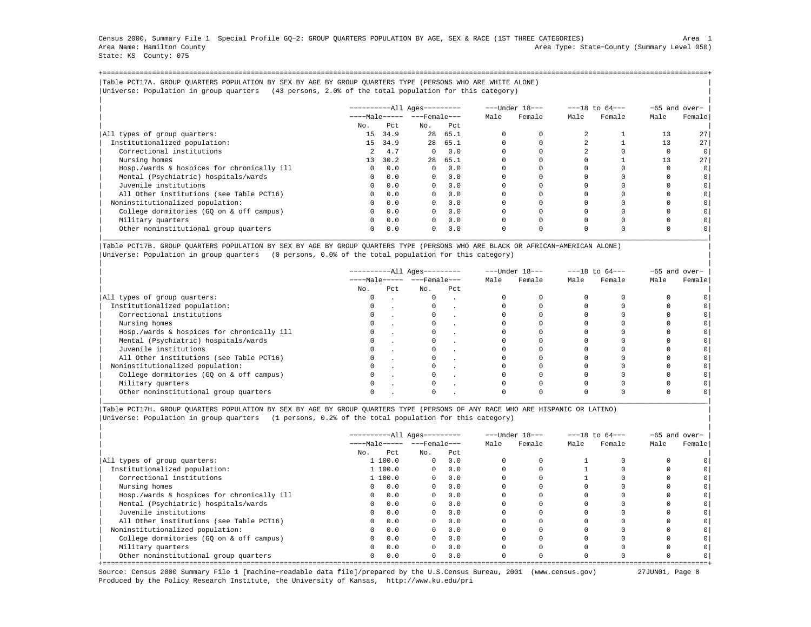Census 2000, Summary File 1 Special Profile GQ−2: GROUP QUARTERS POPULATION BY AGE, SEX & RACE (1ST THREE CATEGORIES) Area 1 Area Name: Hamilton County Area Type: State−County (Summary Level 050) State: KS County: 075

+===================================================================================================================================================+|Table PCT17A. GROUP QUARTERS POPULATION BY SEX BY AGE BY GROUP QUARTERS TYPE (PERSONS WHO ARE WHITE ALONE) | |Universe: Population in group quarters (43 persons, 2.0% of the total population for this category) |

|                                            |                       |         | $------All Aqes------$ |         |      | ---Under 18--- |      | $---18$ to $64---$ |          | -65 and over- |
|--------------------------------------------|-----------------------|---------|------------------------|---------|------|----------------|------|--------------------|----------|---------------|
|                                            | $---Male--- - -Frame$ |         |                        |         | Male | Female         | Male | Female             | Male     | Female        |
|                                            | No.                   | Pct     | No.                    | Pct     |      |                |      |                    |          |               |
| All types of group quarters:               | 15                    | 34.9    | 28                     | 65.1    |      |                |      |                    | 13       | 27            |
| Institutionalized population:              |                       | 15 34.9 |                        | 28 65.1 |      |                |      |                    | 13       | 27            |
| Correctional institutions                  | 2                     | 4.7     | $\Omega$               | 0.0     |      |                |      |                    | $\Omega$ | $\circ$       |
| Nursing homes                              | 13                    | 30.2    | 28                     | 65.1    |      |                |      |                    | 13       | 27            |
| Hosp./wards & hospices for chronically ill | $\Omega$              | 0.0     | $\Omega$               | 0.0     |      |                |      |                    |          | $\circ$       |
| Mental (Psychiatric) hospitals/wards       | $\Omega$              | 0.0     | $\overline{0}$         | 0.0     |      |                |      |                    |          | $\circ$       |
| Juvenile institutions                      | $\Omega$              | 0.0     | $\Omega$               | 0.0     |      |                |      |                    |          | $\circ$       |
| All Other institutions (see Table PCT16)   | $\cap$                | 0.0     | $\Omega$               | 0.0     |      |                |      |                    |          | $\circ$       |
| Noninstitutionalized population:           | $\Omega$              | 0.0     | $\Omega$               | 0.0     |      |                |      |                    |          | $\circ$       |
| College dormitories (GO on & off campus)   | 0                     | 0.0     | $\Omega$               | 0.0     |      |                |      |                    |          | $\circ$       |
| Military quarters                          | $\Omega$              | 0.0     | $\Omega$               | 0.0     |      |                |      |                    |          |               |
| Other noninstitutional group quarters      | $\Omega$              | 0.0     | $\Omega$               | 0.0     |      |                |      | $\Omega$           | 0        | $\Omega$      |

|Table PCT17B. GROUP QUARTERS POPULATION BY SEX BY AGE BY GROUP QUARTERS TYPE (PERSONS WHO ARE BLACK OR AFRICAN−AMERICAN ALONE) | |Universe: Population in group quarters (0 persons, 0.0% of the total population for this category) |

|                                            |                              |     | ----------All Ages--------- |     |      | ---Under 18--- |      | $---18$ to $64---$ |      | -65 and over- |
|--------------------------------------------|------------------------------|-----|-----------------------------|-----|------|----------------|------|--------------------|------|---------------|
|                                            | $---Male--- - - - Female---$ |     |                             |     | Male | Female         | Male | Female             | Male | Female        |
|                                            | No.                          | Pct | No.                         | Pct |      |                |      |                    |      |               |
| All types of group quarters:               | $\Omega$                     |     | $\Omega$                    |     |      |                |      |                    |      |               |
| Institutionalized population:              |                              |     |                             |     |      |                |      |                    |      |               |
| Correctional institutions                  | 0                            |     |                             |     |      |                |      |                    |      |               |
| Nursing homes                              | $\Omega$                     |     |                             |     |      |                |      |                    |      |               |
| Hosp./wards & hospices for chronically ill |                              |     |                             |     |      |                |      |                    |      |               |
| Mental (Psychiatric) hospitals/wards       | $\Omega$                     |     | 0                           |     |      |                |      |                    |      |               |
| Juvenile institutions                      |                              |     |                             |     |      |                |      |                    |      |               |
| All Other institutions (see Table PCT16)   |                              |     |                             |     |      |                |      |                    |      |               |
| Noninstitutionalized population:           | $\Omega$                     |     |                             |     |      |                |      |                    |      |               |
| College dormitories (GO on & off campus)   |                              |     |                             |     |      |                |      |                    |      |               |
| Military quarters                          |                              |     |                             |     |      |                |      |                    |      |               |
| Other noninstitutional group quarters      |                              |     |                             |     |      |                |      |                    |      |               |

|\_\_\_\_\_\_\_\_\_\_\_\_\_\_\_\_\_\_\_\_\_\_\_\_\_\_\_\_\_\_\_\_\_\_\_\_\_\_\_\_\_\_\_\_\_\_\_\_\_\_\_\_\_\_\_\_\_\_\_\_\_\_\_\_\_\_\_\_\_\_\_\_\_\_\_\_\_\_\_\_\_\_\_\_\_\_\_\_\_\_\_\_\_\_\_\_\_\_\_\_\_\_\_\_\_\_\_\_\_\_\_\_\_\_\_\_\_\_\_\_\_\_\_\_\_\_\_\_\_\_\_\_\_\_\_\_\_\_\_\_\_\_\_\_\_\_\_|

|Table PCT17H. GROUP QUARTERS POPULATION BY SEX BY AGE BY GROUP QUARTERS TYPE (PERSONS OF ANY RACE WHO ARE HISPANIC OR LATINO) | |Universe: Population in group quarters (1 persons, 0.2% of the total population for this category) |

|                                            |                             | ----------All Ages--------- |                |      |      | ---Under 18--- | $---18$ to $64---$ |        | $-65$ and over- |        |
|--------------------------------------------|-----------------------------|-----------------------------|----------------|------|------|----------------|--------------------|--------|-----------------|--------|
|                                            | $---Male--- - -}-Female---$ |                             |                |      | Male | Female         | Male               | Female | Male            | Female |
|                                            | No.                         | Pct.                        | No.            | Pct. |      |                |                    |        |                 |        |
| All types of group quarters:               |                             | 1100.0                      | $\circ$        | 0.0  |      |                |                    |        |                 |        |
| Institutionalized population:              |                             | 1 100.0                     | $\circ$        | 0.0  |      |                |                    |        |                 |        |
| Correctional institutions                  |                             | 1100.0                      | $\overline{0}$ | 0.0  |      |                |                    |        |                 |        |
| Nursing homes                              | 0                           | 0.0                         | $\Omega$       | 0.0  |      |                |                    |        |                 |        |
| Hosp./wards & hospices for chronically ill | $\mathbf{0}$                | 0.0                         | $\overline{0}$ | 0.0  |      |                |                    |        |                 |        |
| Mental (Psychiatric) hospitals/wards       | $\Omega$                    | 0.0                         | $\Omega$       | 0.0  |      |                |                    |        |                 |        |
| Juvenile institutions                      | $\Omega$                    | 0.0                         | $\Omega$       | 0.0  |      |                |                    |        |                 |        |
| All Other institutions (see Table PCT16)   | $\Omega$                    | 0.0                         | $\mathbf{0}$   | 0.0  |      |                |                    |        |                 |        |
| Noninstitutionalized population:           | $\Omega$                    | 0.0                         | $\Omega$       | 0.0  |      |                |                    |        |                 |        |
| College dormitories (GQ on & off campus)   | 0                           | 0.0                         | $\mathbf{0}$   | 0.0  |      |                |                    |        |                 |        |
| Military quarters                          | $\Omega$                    | 0.0                         | $\Omega$       | 0.0  |      |                |                    |        |                 |        |
| Other noninstitutional group quarters      | $\mathbf{0}$                | 0.0                         | $\Omega$       | 0.0  |      |                |                    |        |                 |        |

Source: Census 2000 Summary File 1 [machine−readable data file]/prepared by the U.S.Census Bureau, 2001 (www.census.gov) 27JUN01, Page 8 Produced by the Policy Research Institute, the University of Kansas, http://www.ku.edu/pri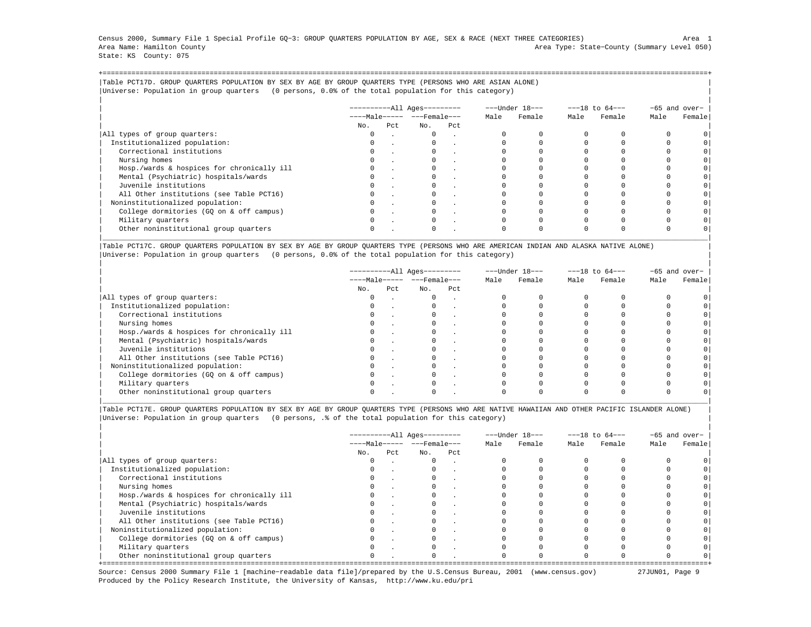Census 2000, Summary File 1 Special Profile GQ−3: GROUP QUARTERS POPULATION BY AGE, SEX & RACE (NEXT THREE CATEGORIES) Area 1 Area Name: Hamilton County Area Type: State−County (Summary Level 050) State: KS County: 075

+===================================================================================================================================================+|Table PCT17D. GROUP QUARTERS POPULATION BY SEX BY AGE BY GROUP QUARTERS TYPE (PERSONS WHO ARE ASIAN ALONE) | |Universe: Population in group quarters (0 persons, 0.0% of the total population for this category) |

|                                            |     |     | $------All Aqes------$  |     |      | ---Under 18--- | $---18$ to $64---$ |        | -65 and over- |         |
|--------------------------------------------|-----|-----|-------------------------|-----|------|----------------|--------------------|--------|---------------|---------|
|                                            |     |     | $---Male--- - - Female$ |     | Male | Female         | Male               | Female | Male          | Female  |
|                                            | No. | Pct | No.                     | Pct |      |                |                    |        |               |         |
| All types of group quarters:               |     |     | $\mathbf{0}$            |     |      |                |                    |        |               |         |
| Institutionalized population:              |     |     |                         |     |      |                |                    |        |               |         |
| Correctional institutions                  |     |     |                         |     |      |                |                    |        |               | $\circ$ |
| Nursing homes                              |     |     |                         |     |      |                |                    |        |               |         |
| Hosp./wards & hospices for chronically ill |     |     |                         |     |      |                |                    |        |               | $\circ$ |
| Mental (Psychiatric) hospitals/wards       |     |     |                         |     |      |                |                    |        |               | $\circ$ |
| Juvenile institutions                      |     |     |                         |     |      |                |                    |        |               | $\circ$ |
| All Other institutions (see Table PCT16)   |     |     |                         |     |      |                |                    |        |               |         |
| Noninstitutionalized population:           |     |     |                         |     |      |                |                    |        |               | $\circ$ |
| College dormitories (GO on & off campus)   |     |     |                         |     |      |                |                    |        |               | $\circ$ |
| Military quarters                          |     |     | $\Omega$                |     |      |                |                    |        |               |         |
| Other noninstitutional group quarters      |     |     |                         |     |      |                |                    |        |               |         |

|Table PCT17C. GROUP QUARTERS POPULATION BY SEX BY AGE BY GROUP QUARTERS TYPE (PERSONS WHO ARE AMERICAN INDIAN AND ALASKA NATIVE ALONE) | |Universe: Population in group quarters (0 persons, 0.0% of the total population for this category) |

|                                            |          |     | ----------All Ages--------- |                                | ---Under 18--- |        |      | $---18$ to $64---$ | $-65$ and over- |        |
|--------------------------------------------|----------|-----|-----------------------------|--------------------------------|----------------|--------|------|--------------------|-----------------|--------|
|                                            |          |     |                             | $---Male--- -  ---$ Female --- |                | Female | Male | Female             | Male            | Female |
|                                            | No.      | Pct | No.                         | Pct                            |                |        |      |                    |                 |        |
| All types of group quarters:               | 0        |     | $\mathbf{0}$                | $\sim$                         |                |        |      |                    |                 |        |
| Institutionalized population:              | 0        |     |                             |                                |                |        |      |                    |                 |        |
| Correctional institutions                  | $\Omega$ |     |                             |                                |                |        |      |                    |                 |        |
| Nursing homes                              |          |     |                             |                                |                |        |      |                    |                 |        |
| Hosp./wards & hospices for chronically ill |          |     |                             |                                |                |        |      |                    |                 |        |
| Mental (Psychiatric) hospitals/wards       |          |     |                             |                                |                |        |      |                    |                 |        |
| Juvenile institutions                      | $\Omega$ |     |                             |                                |                |        |      |                    |                 |        |
| All Other institutions (see Table PCT16)   |          |     |                             |                                |                |        |      |                    |                 |        |
| Noninstitutionalized population:           |          |     |                             |                                |                |        |      |                    |                 |        |
| College dormitories (GQ on & off campus)   |          |     |                             |                                |                |        |      |                    |                 |        |
| Military quarters                          | $\Omega$ |     |                             |                                |                |        |      |                    |                 |        |
| Other noninstitutional group quarters      |          |     |                             |                                |                |        |      |                    |                 |        |

|Table PCT17E. GROUP QUARTERS POPULATION BY SEX BY AGE BY GROUP QUARTERS TYPE (PERSONS WHO ARE NATIVE HAWAIIAN AND OTHER PACIFIC ISLANDER ALONE) | |Universe: Population in group quarters (0 persons, .% of the total population for this category) |

|                                            | ----------All Ages--------- |      |                              |     |      | ---Under 18--- | $---18$ to $64---$ |        | -65 and over- |        |
|--------------------------------------------|-----------------------------|------|------------------------------|-----|------|----------------|--------------------|--------|---------------|--------|
|                                            |                             |      | $---Male--- - - - Female---$ |     | Male | Female         | Male               | Female | Male          | Female |
|                                            | No.                         | Pct. | No.                          | Pct |      |                |                    |        |               |        |
| All types of group quarters:               | 0                           |      | $\Omega$                     |     |      |                |                    |        |               |        |
| Institutionalized population:              | $\Omega$                    |      |                              |     |      |                |                    |        |               |        |
| Correctional institutions                  |                             |      |                              |     |      |                |                    |        |               |        |
| Nursing homes                              |                             |      |                              |     |      |                |                    |        |               |        |
| Hosp./wards & hospices for chronically ill | $\Omega$                    |      |                              |     |      |                |                    |        |               |        |
| Mental (Psychiatric) hospitals/wards       | 0                           |      |                              |     |      |                |                    |        |               |        |
| Juvenile institutions                      |                             |      |                              |     |      |                |                    |        |               |        |
| All Other institutions (see Table PCT16)   |                             |      |                              |     |      |                |                    |        |               |        |
| Noninstitutionalized population:           | $\Omega$                    |      |                              |     |      |                |                    |        |               |        |
| College dormitories (GQ on & off campus)   |                             |      |                              |     |      |                |                    |        |               |        |
| Military quarters                          |                             |      |                              |     |      |                |                    |        |               |        |
| Other noninstitutional group quarters      | $\Omega$                    |      | $\Omega$                     |     |      |                |                    |        |               |        |

Source: Census 2000 Summary File 1 [machine−readable data file]/prepared by the U.S.Census Bureau, 2001 (www.census.gov) 27JUN01, Page 9 Produced by the Policy Research Institute, the University of Kansas, http://www.ku.edu/pri